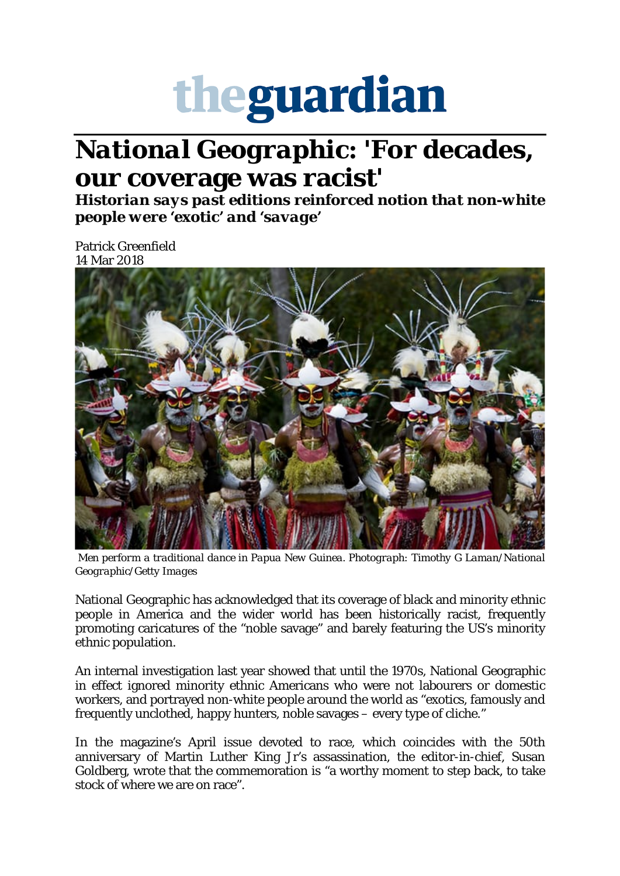## theguardian

## *National Geographic***: 'For decades, our coverage was racist'**

*Historian says past editions reinforced notion that non-white people were 'exotic' and 'savage'*

Patrick Greenfield 14 Mar 2018



*Men perform a traditional dance in Papua New Guinea. Photograph: Timothy G Laman/National Geographic/Getty Images*

National Geographic has acknowledged that its coverage of black and minority ethnic people in America and the wider world has been historically racist, frequently promoting caricatures of the "noble savage" and barely featuring the US's minority ethnic population.

An internal investigation last year showed that until the 1970s, National Geographic in effect ignored minority ethnic Americans who were not labourers or domestic workers, and portrayed non-white people around the world as "exotics, famously and frequently unclothed, happy hunters, noble savages – every type of cliche."

In the magazine's April issue devoted to race, which coincides with the 50th anniversary of Martin Luther King Jr's assassination, the editor-in-chief, Susan Goldberg, wrote that the commemoration is "a worthy moment to step back, to take stock of where we are on race".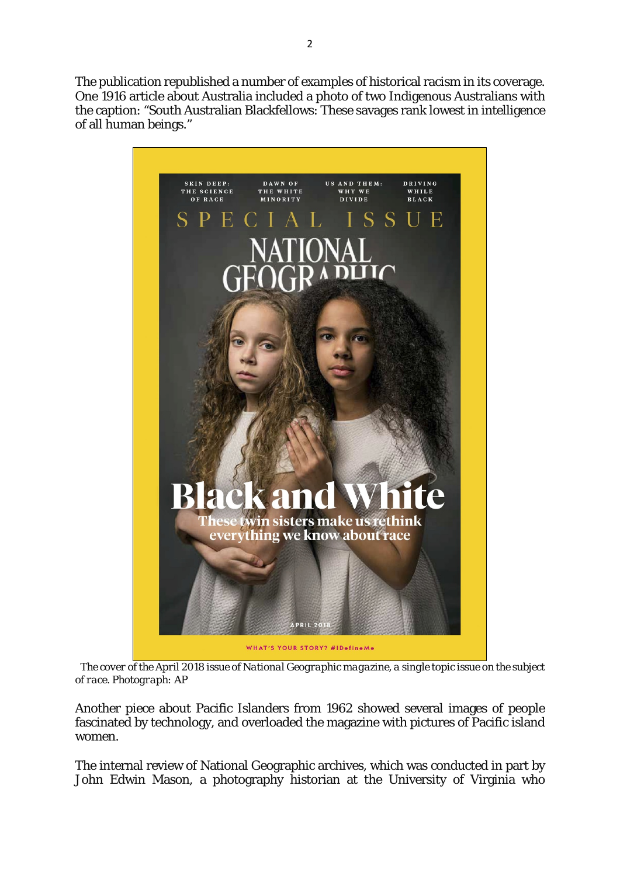The publication republished a number of examples of historical racism in its coverage. One 1916 article about Australia included a photo of two Indigenous Australians with the caption: "South [Australian Blackfellows: These savages rank lowest in intelligence](https://www.theguardian.com/world/2018/mar/13/national-geographic-magazine-coverage-racist#img-2)  of all human beings."



*The cover of the April 2018 issue of National Geographic magazine, a single topic issue on the subject of race. Photograph: AP*

Another piece about Pacific Islanders from 1962 showed several images of people fascinated by technology, and overloaded the magazine with pictures of Pacific island women.

The internal review of National Geographic archives, which was conducted in part by John Edwin Mason, a photography historian at the University of Virginia who